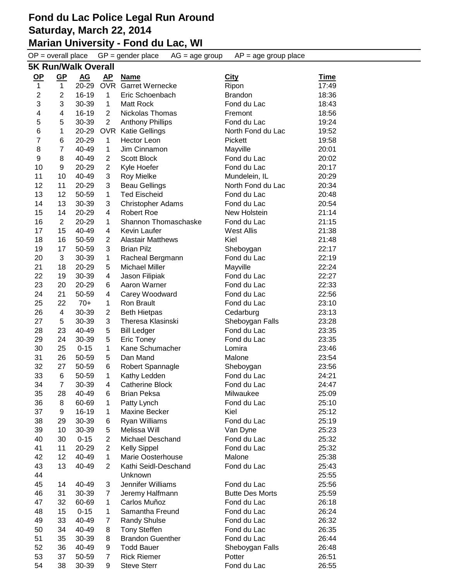#### **Marian University - Fond du Lac, WI**

 $OP =$  overall place  $GP =$  gender place  $AG =$  age group  $AP =$  age group place

| 5K Run/Walk Overall |                         |           |                |                          |                        |             |  |  |
|---------------------|-------------------------|-----------|----------------|--------------------------|------------------------|-------------|--|--|
| <u>OP</u>           | <u>GP</u>               | <b>AG</b> | <u>AP</u>      | <b>Name</b>              | <b>City</b>            | <b>Time</b> |  |  |
| $\mathbf{1}$        | 1                       | 20-29     | <b>OVR</b>     | Garret Wernecke          | Ripon                  | 17:49       |  |  |
| $\overline{c}$      | $\overline{2}$          | 16-19     | $\mathbf{1}$   | Eric Schoenbach          | <b>Brandon</b>         | 18:36       |  |  |
| 3                   | 3                       | 30-39     | 1              | Matt Rock                | Fond du Lac            | 18:43       |  |  |
| 4                   | 4                       | 16-19     | $\overline{2}$ | Nickolas Thomas          | Fremont                | 18:56       |  |  |
| 5                   | 5                       | 30-39     | $\overline{2}$ | <b>Anthony Phillips</b>  | Fond du Lac            | 19:24       |  |  |
| 6                   | 1                       | 20-29     | <b>OVR</b>     | <b>Katie Gellings</b>    | North Fond du Lac      | 19:52       |  |  |
| $\overline{7}$      | 6                       | 20-29     | 1              | <b>Hector Leon</b>       | Pickett                | 19:58       |  |  |
| 8                   | $\overline{7}$          | 40-49     | $\mathbf{1}$   | Jim Cinnamon             | Mayville               | 20:01       |  |  |
| 9                   | 8                       | 40-49     | $\overline{2}$ | Scott Block              | Fond du Lac            | 20:02       |  |  |
| 10                  | 9                       | 20-29     | $\overline{2}$ | Kyle Hoefer              | Fond du Lac            | 20:17       |  |  |
| 11                  | 10                      | 40-49     | 3              | <b>Roy Mielke</b>        | Mundelein, IL          | 20:29       |  |  |
| 12                  | 11                      | 20-29     | 3              | <b>Beau Gellings</b>     | North Fond du Lac      | 20:34       |  |  |
| 13                  | 12                      | 50-59     | $\mathbf{1}$   | <b>Ted Eischeid</b>      | Fond du Lac            | 20:48       |  |  |
| 14                  | 13                      | 30-39     | 3              | <b>Christopher Adams</b> | Fond du Lac            | 20:54       |  |  |
| 15                  | 14                      | 20-29     | 4              | <b>Robert Roe</b>        | New Holstein           | 21:14       |  |  |
| 16                  | $\overline{2}$          | 20-29     | 1              | Shannon Thomaschaske     | Fond du Lac            | 21:15       |  |  |
| 17                  | 15                      | 40-49     | 4              | Kevin Laufer             | <b>West Allis</b>      | 21:38       |  |  |
| 18                  | 16                      | 50-59     | $\overline{2}$ | <b>Alastair Matthews</b> | Kiel                   | 21:48       |  |  |
| 19                  | 17                      | 50-59     | 3              | <b>Brian Pilz</b>        | Sheboygan              | 22:17       |  |  |
| 20                  | 3                       | 30-39     | 1              | Racheal Bergmann         | Fond du Lac            | 22:19       |  |  |
| 21                  | 18                      | 20-29     | 5              | <b>Michael Miller</b>    | Mayville               | 22:24       |  |  |
| 22                  | 19                      | 30-39     | 4              | Jason Filipiak           | Fond du Lac            | 22:27       |  |  |
| 23                  | 20                      | 20-29     | 6              | Aaron Warner             | Fond du Lac            | 22:33       |  |  |
| 24                  | 21                      | 50-59     | 4              | Carey Woodward           | Fond du Lac            | 22:56       |  |  |
| 25                  | 22                      | $70+$     | $\mathbf{1}$   | Ron Brault               | Fond du Lac            | 23:10       |  |  |
| 26                  | $\overline{\mathbf{4}}$ | 30-39     | $\overline{c}$ | <b>Beth Hietpas</b>      | Cedarburg              | 23:13       |  |  |
| 27                  | 5                       | 30-39     | 3              | Theresa Klasinski        | Sheboygan Falls        | 23:28       |  |  |
| 28                  | 23                      | 40-49     | 5              | <b>Bill Ledger</b>       | Fond du Lac            | 23:35       |  |  |
| 29                  | 24                      | 30-39     | 5              | <b>Eric Toney</b>        | Fond du Lac            | 23:35       |  |  |
| 30                  | 25                      | $0 - 15$  | $\mathbf 1$    | Kane Schumacher          | Lomira                 | 23:46       |  |  |
| 31                  | 26                      | 50-59     | 5              | Dan Mand                 | Malone                 | 23:54       |  |  |
| 32                  | 27                      | 50-59     | 6              | Robert Spannagle         | Sheboygan              | 23:56       |  |  |
| 33                  | 6                       | 50-59     | $\mathbf{1}$   | Kathy Ledden             | Fond du Lac            | 24:21       |  |  |
| 34                  | $\overline{7}$          | 30-39     | $\overline{4}$ | <b>Catherine Block</b>   | Fond du Lac            | 24:47       |  |  |
| 35                  | 28                      | 40-49     | 6              | Brian Peksa              | Milwaukee              | 25:09       |  |  |
| 36                  | 8                       | 60-69     | 1              | Patty Lynch              | Fond du Lac            | 25:10       |  |  |
| 37                  | 9                       | 16-19     | 1              | Maxine Becker            | Kiel                   | 25:12       |  |  |
| 38                  | 29                      | 30-39     | 6              | Ryan Williams            | Fond du Lac            | 25:19       |  |  |
| 39                  | 10                      | 30-39     | 5              | Melissa Will             | Van Dyne               | 25:23       |  |  |
| 40                  | 30                      | $0 - 15$  | $\overline{2}$ | <b>Michael Deschand</b>  | Fond du Lac            | 25:32       |  |  |
| 41                  | 11                      | 20-29     | $\overline{2}$ | <b>Kelly Sippel</b>      | Fond du Lac            | 25:32       |  |  |
| 42                  | 12                      | 40-49     | 1              | Marie Oosterhouse        | Malone                 | 25:38       |  |  |
| 43                  | 13                      | 40-49     | $\overline{2}$ | Kathi Seidl-Deschand     | Fond du Lac            | 25:43       |  |  |
| 44                  |                         |           |                | Unknown                  |                        | 25:55       |  |  |
| 45                  | 14                      | 40-49     | 3              | Jennifer Williams        | Fond du Lac            | 25:56       |  |  |
| 46                  | 31                      | 30-39     | 7              | Jeremy Halfmann          | <b>Butte Des Morts</b> | 25:59       |  |  |
| 47                  | 32                      | 60-69     | 1              | Carlos Muñoz             | Fond du Lac            | 26:18       |  |  |
| 48                  | 15                      | $0 - 15$  | 1              | Samantha Freund          | Fond du Lac            | 26:24       |  |  |
| 49                  | 33                      | 40-49     | $\overline{7}$ | <b>Randy Shulse</b>      | Fond du Lac            | 26:32       |  |  |
| 50                  | 34                      | 40-49     | 8              | <b>Tony Steffen</b>      | Fond du Lac            | 26:35       |  |  |
| 51                  | 35                      | 30-39     | 8              | <b>Brandon Guenther</b>  | Fond du Lac            | 26:44       |  |  |
| 52                  | 36                      | 40-49     | 9              | <b>Todd Bauer</b>        | Sheboygan Falls        | 26:48       |  |  |
| 53                  | 37                      | 50-59     | 7              | <b>Rick Riemer</b>       | Potter                 | 26:51       |  |  |
| 54                  | 38                      | 30-39     | 9              | <b>Steve Sterr</b>       | Fond du Lac            | 26:55       |  |  |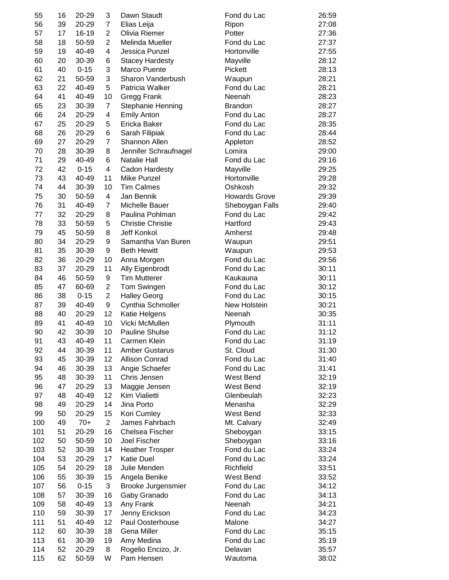| 55  | 16 | 20-29    | 3              | Dawn Staudt              | Fond du Lac          | 26:59 |
|-----|----|----------|----------------|--------------------------|----------------------|-------|
| 56  | 39 | 20-29    | 7              | Elias Leija              | Ripon                | 27:08 |
| 57  | 17 | 16-19    | $\overline{2}$ | Olivia Riemer            | Potter               | 27:36 |
| 58  | 18 | 50-59    | $\overline{2}$ | Melinda Mueller          | Fond du Lac          | 27:37 |
| 59  | 19 | 40-49    | 4              | Jessica Punzel           | Hortonville          | 27:55 |
| 60  | 20 | 30-39    | 6              | <b>Stacey Hardesty</b>   | Mayville             | 28:12 |
| 61  | 40 | $0 - 15$ | 3              | Marco Puente             | Pickett              | 28:13 |
| 62  | 21 | 50-59    | 3              | Sharon Vanderbush        |                      | 28:21 |
|     |    | 40-49    |                | Patricia Walker          | Waupun               |       |
| 63  | 22 |          | 5              |                          | Fond du Lac          | 28:21 |
| 64  | 41 | 40-49    | 10             | Gregg Frank              | Neenah               | 28:23 |
| 65  | 23 | 30-39    | $\overline{7}$ | Stephanie Henning        | <b>Brandon</b>       | 28:27 |
| 66  | 24 | 20-29    | 4              | <b>Emily Anton</b>       | Fond du Lac          | 28:27 |
| 67  | 25 | 20-29    | 5              | Ericka Baker             | Fond du Lac          | 28:35 |
| 68  | 26 | 20-29    | 6              | Sarah Filipiak           | Fond du Lac          | 28:44 |
| 69  | 27 | 20-29    | $\overline{7}$ | Shannon Allen            | Appleton             | 28:52 |
| 70  | 28 | 30-39    | 8              | Jennifer Schraufnagel    | Lomira               | 29:00 |
| 71  | 29 | 40-49    | 6              | <b>Natalie Hall</b>      | Fond du Lac          | 29:16 |
| 72  | 42 | $0 - 15$ | 4              | Cadon Hardesty           | Mayville             | 29:25 |
| 73  | 43 | 40-49    | 11             | Mike Punzel              | Hortonville          | 29:28 |
| 74  | 44 | 30-39    | 10             | <b>Tim Calmes</b>        | Oshkosh              | 29:32 |
| 75  | 30 | 50-59    | 4              | Jan Bennik               | <b>Howards Grove</b> | 29:39 |
| 76  | 31 | 40-49    | 7              | Michelle Bauer           | Sheboygan Falls      | 29:40 |
| 77  | 32 | 20-29    | 8              | Paulina Pohlman          | Fond du Lac          | 29:42 |
| 78  | 33 | 50-59    | 5              | <b>Christie Christie</b> | Hartford             | 29:43 |
| 79  | 45 | 50-59    | 8              | Jeff Konkol              | Amherst              | 29:48 |
| 80  | 34 | 20-29    | 9              | Samantha Van Buren       | Waupun               | 29:51 |
| 81  | 35 | 30-39    | 9              | <b>Beth Hewitt</b>       | Waupun               | 29:53 |
| 82  | 36 | 20-29    | 10             | Anna Morgen              | Fond du Lac          | 29:56 |
| 83  | 37 | 20-29    | 11             |                          | Fond du Lac          | 30:11 |
|     |    |          |                | Ally Eigenbrodt          |                      |       |
| 84  | 46 | 50-59    | 9              | <b>Tim Mutterer</b>      | Kaukauna             | 30:11 |
| 85  | 47 | 60-69    | 2              | Tom Swingen              | Fond du Lac          | 30:12 |
| 86  | 38 | $0 - 15$ | $\overline{c}$ | <b>Halley Georg</b>      | Fond du Lac          | 30:15 |
| 87  | 39 | 40-49    | 9              | Cynthia Schmoller        | New Holstein         | 30:21 |
| 88  | 40 | 20-29    | 12             | Katie Helgens            | Neenah               | 30:35 |
| 89  | 41 | 40-49    | 10             | Vicki McMullen           | Plymouth             | 31:11 |
| 90  | 42 | 30-39    | 10             | <b>Pauline Shulse</b>    | Fond du Lac          | 31:12 |
| 91  | 43 | 40-49    | 11             | Carmen Klein             | Fond du Lac          | 31:19 |
| 92  | 44 | 30-39    | 11             | <b>Amber Gustarus</b>    | St. Cloud            | 31:30 |
| 93  | 45 | 30-39    | 12             | <b>Allison Conrad</b>    | Fond du Lac          | 31:40 |
| 94  | 46 | 30-39    | 13             | Angie Schaefer           | Fond du Lac          | 31:41 |
| 95  | 48 | 30-39    | 11             | Chris Jensen             | West Bend            | 32:19 |
| 96  | 47 | 20-29    | 13             | Maggie Jensen            | West Bend            | 32:19 |
| 97  | 48 | 40-49    | 12             | Kim Vialietti            | Glenbeulah           | 32:23 |
| 98  | 49 | 20-29    | 14             | Jina Porto               | Menasha              | 32:29 |
| 99  | 50 | 20-29    | 15             | Kori Cumley              | West Bend            | 32:33 |
| 100 | 49 | $70+$    | $\overline{2}$ | James Fahrbach           | Mt. Calvary          | 32:49 |
| 101 | 51 | 20-29    | 16             | Chelsea Fischer          | Sheboygan            | 33:15 |
| 102 | 50 | 50-59    | 10             | Joel Fischer             | Sheboygan            | 33:16 |
| 103 | 52 | 30-39    | 14             | <b>Heather Trosper</b>   | Fond du Lac          | 33:24 |
| 104 | 53 | 20-29    | 17             | Katie Duel               | Fond du Lac          | 33:24 |
| 105 | 54 | 20-29    | 18             | Julie Menden             | Richfield            | 33:51 |
| 106 | 55 | 30-39    | 15             |                          | West Bend            | 33:52 |
|     | 56 |          |                | Angela Benike            | Fond du Lac          |       |
| 107 |    | $0 - 15$ | 3              | Brooke Jurgensmier       |                      | 34:12 |
| 108 | 57 | 30-39    | 16             | Gaby Granado             | Fond du Lac          | 34:13 |
| 109 | 58 | 40-49    | 13             | Any Frank                | Neenah               | 34:21 |
| 110 | 59 | 30-39    | 17             | Jenny Erickson           | Fond du Lac          | 34:23 |
| 111 | 51 | 40-49    | 12             | Paul Oosterhouse         | Malone               | 34:27 |
| 112 | 60 | 30-39    | 18             | Gena Miller              | Fond du Lac          | 35:15 |
| 113 | 61 | 30-39    | 19             | Amy Medina               | Fond du Lac          | 35:19 |
| 114 | 52 | 20-29    | 8              | Rogelio Encizo, Jr.      | Delavan              | 35:57 |
| 115 | 62 | 50-59    | W              | Pam Hensen               | Wautoma              | 38:02 |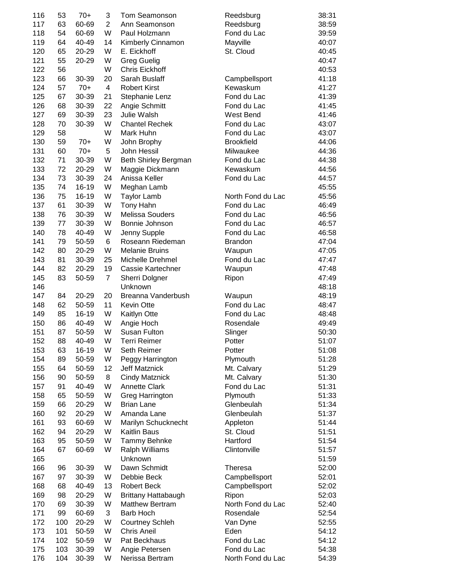| 116 | 53  | $70+$ | 3              | Tom Seamonson          | Reedsburg         | 38:31 |
|-----|-----|-------|----------------|------------------------|-------------------|-------|
| 117 | 63  | 60-69 | $\overline{2}$ | Ann Seamonson          | Reedsburg         | 38:59 |
| 118 | 54  | 60-69 | W              | Paul Holzmann          | Fond du Lac       | 39:59 |
| 119 | 64  | 40-49 | 14             | Kimberly Cinnamon      | Mayville          | 40:07 |
| 120 | 65  | 20-29 | W              | E. Eickhoff            | St. Cloud         | 40:45 |
|     |     |       |                |                        |                   |       |
| 121 | 55  | 20-29 | W              | <b>Greg Guelig</b>     |                   | 40:47 |
| 122 | 56  |       | W              | <b>Chris Eickhoff</b>  |                   | 40:53 |
| 123 | 66  | 30-39 | 20             | Sarah Buslaff          | Campbellsport     | 41:18 |
| 124 | 57  | $70+$ | 4              | <b>Robert Kirst</b>    | Kewaskum          | 41:27 |
| 125 | 67  | 30-39 | 21             | Stephanie Lenz         | Fond du Lac       | 41:39 |
| 126 | 68  | 30-39 | 22             | Angie Schmitt          | Fond du Lac       | 41:45 |
| 127 | 69  | 30-39 | 23             | Julie Walsh            | West Bend         | 41:46 |
|     |     |       |                |                        |                   |       |
| 128 | 70  | 30-39 | W              | <b>Chantel Rechek</b>  | Fond du Lac       | 43:07 |
| 129 | 58  |       | W              | Mark Huhn              | Fond du Lac       | 43:07 |
| 130 | 59  | $70+$ | W              | John Brophy            | <b>Brookfield</b> | 44:06 |
| 131 | 60  | $70+$ | 5              | John Hessil            | Milwaukee         | 44:36 |
| 132 | 71  | 30-39 | W              | Beth Shirley Bergman   | Fond du Lac       | 44:38 |
| 133 | 72  | 20-29 | W              | Maggie Dickmann        | Kewaskum          | 44:56 |
| 134 | 73  | 30-39 | 24             | Anissa Keller          | Fond du Lac       | 44:57 |
| 135 | 74  | 16-19 | W              | Meghan Lamb            |                   | 45:55 |
|     |     |       |                |                        |                   |       |
| 136 | 75  | 16-19 | W              | <b>Taylor Lamb</b>     | North Fond du Lac | 45:56 |
| 137 | 61  | 30-39 | W              | Tony Hahn              | Fond du Lac       | 46:49 |
| 138 | 76  | 30-39 | W              | <b>Melissa Souders</b> | Fond du Lac       | 46:56 |
| 139 | 77  | 30-39 | W              | Bonnie Johnson         | Fond du Lac       | 46:57 |
| 140 | 78  | 40-49 | W              | Jenny Supple           | Fond du Lac       | 46:58 |
| 141 | 79  | 50-59 | 6              | Roseann Riedeman       | <b>Brandon</b>    | 47:04 |
| 142 | 80  | 20-29 | W              | <b>Melanie Bruins</b>  |                   | 47:05 |
|     |     |       |                |                        | Waupun            |       |
| 143 | 81  | 30-39 | 25             | Michelle Drehmel       | Fond du Lac       | 47:47 |
| 144 | 82  | 20-29 | 19             | Cassie Kartechner      | Waupun            | 47:48 |
| 145 | 83  | 50-59 | $\overline{7}$ | Sherri Dolgner         | Ripon             | 47:49 |
| 146 |     |       |                | Unknown                |                   | 48:18 |
| 147 | 84  | 20-29 | 20             | Breanna Vanderbush     | Waupun            | 48:19 |
| 148 | 62  | 50-59 | 11             | <b>Kevin Otte</b>      | Fond du Lac       | 48:47 |
| 149 | 85  | 16-19 | W              | <b>Kaitlyn Otte</b>    | Fond du Lac       | 48:48 |
|     |     |       |                |                        |                   |       |
| 150 | 86  | 40-49 | W              | Angie Hoch             | Rosendale         | 49:49 |
| 151 | 87  | 50-59 | W              | Susan Fulton           | Slinger           | 50:30 |
| 152 | 88  | 40-49 | W              | Terri Reimer           | Potter            | 51:07 |
| 153 | 63  | 16-19 | W              | Seth Reimer            | Potter            | 51:08 |
| 154 | 89  | 50-59 | W              | Peggy Harrington       | Plymouth          | 51:28 |
| 155 | 64  | 50-59 | 12             | Jeff Matznick          | Mt. Calvary       | 51:29 |
| 156 | 90  | 50-59 | 8              | <b>Cindy Matznick</b>  | Mt. Calvary       | 51:30 |
| 157 | 91  | 40-49 | W              | <b>Annette Clark</b>   | Fond du Lac       | 51:31 |
| 158 |     | 50-59 | W              | Greg Harrington        |                   | 51:33 |
|     | 65  |       |                |                        | Plymouth          |       |
| 159 | 66  | 20-29 | W              | <b>Brian Lane</b>      | Glenbeulah        | 51:34 |
| 160 | 92  | 20-29 | W              | Amanda Lane            | Glenbeulah        | 51:37 |
| 161 | 93  | 60-69 | W              | Marilyn Schucknecht    | Appleton          | 51:44 |
| 162 | 94  | 20-29 | W              | <b>Kaitlin Baus</b>    | St. Cloud         | 51:51 |
| 163 | 95  | 50-59 | W              | Tammy Behnke           | Hartford          | 51:54 |
| 164 | 67  | 60-69 | W              | Ralph Williams         | Clintonville      | 51:57 |
| 165 |     |       |                | Unknown                |                   | 51:59 |
|     |     |       |                |                        |                   |       |
| 166 | 96  | 30-39 | W              | Dawn Schmidt           | <b>Theresa</b>    | 52:00 |
| 167 | 97  | 30-39 | W              | Debbie Beck            | Campbellsport     | 52:01 |
| 168 | 68  | 40-49 | 13             | <b>Robert Beck</b>     | Campbellsport     | 52:02 |
| 169 | 98  | 20-29 | W              | Brittany Hattabaugh    | Ripon             | 52:03 |
| 170 | 69  | 30-39 | W              | <b>Matthew Bertram</b> | North Fond du Lac | 52:40 |
| 171 | 99  | 60-69 | 3              | <b>Barb Hoch</b>       | Rosendale         | 52:54 |
| 172 | 100 | 20-29 | W              | <b>Courtney Schleh</b> | Van Dyne          | 52:55 |
| 173 | 101 | 50-59 | W              | <b>Chris Aneil</b>     | Eden              | 54:12 |
|     |     |       |                |                        |                   |       |
| 174 | 102 | 50-59 | W              | Pat Beckhaus           | Fond du Lac       | 54:12 |
| 175 | 103 | 30-39 | W              | Angie Petersen         | Fond du Lac       | 54:38 |
| 176 | 104 | 30-39 | W              | Nerissa Bertram        | North Fond du Lac | 54:39 |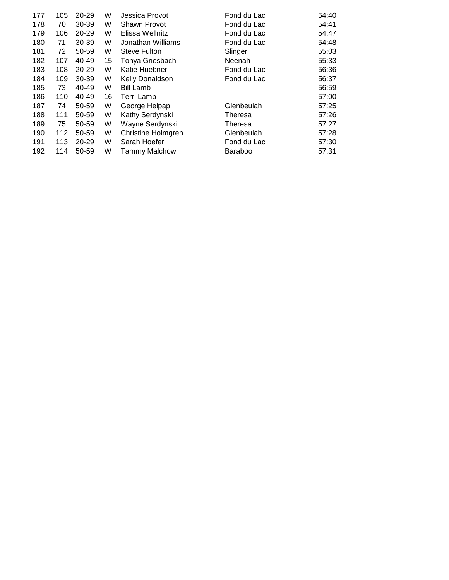| 177 | 105 | 20-29 | W  | Jessica Provot            | Fond du Lac   | 54:40 |
|-----|-----|-------|----|---------------------------|---------------|-------|
| 178 | 70  | 30-39 | W  | Shawn Provot              | Fond du Lac   | 54:41 |
| 179 | 106 | 20-29 | W  | Elissa Wellnitz           | Fond du Lac   | 54:47 |
| 180 | 71  | 30-39 | W  | Jonathan Williams         | Fond du Lac   | 54:48 |
| 181 | 72  | 50-59 | W  | Steve Fulton              | Slinger       | 55:03 |
| 182 | 107 | 40-49 | 15 | Tonya Griesbach           | <b>Neenah</b> | 55:33 |
| 183 | 108 | 20-29 | W  | Katie Huebner             | Fond du Lac   | 56:36 |
| 184 | 109 | 30-39 | W  | Kelly Donaldson           | Fond du Lac   | 56:37 |
| 185 | 73  | 40-49 | W  | <b>Bill Lamb</b>          |               | 56:59 |
| 186 | 110 | 40-49 | 16 | Terri Lamb                |               | 57:00 |
| 187 | 74  | 50-59 | W  | George Helpap             | Glenbeulah    | 57:25 |
| 188 | 111 | 50-59 | W  | Kathy Serdynski           | Theresa       | 57:26 |
| 189 | 75  | 50-59 | W  | Wayne Serdynski           | Theresa       | 57:27 |
| 190 | 112 | 50-59 | W  | <b>Christine Holmgren</b> | Glenbeulah    | 57:28 |
| 191 | 113 | 20-29 | W  | Sarah Hoefer              | Fond du Lac   | 57:30 |
| 192 | 114 | 50-59 | W  | <b>Tammy Malchow</b>      | Baraboo       | 57:31 |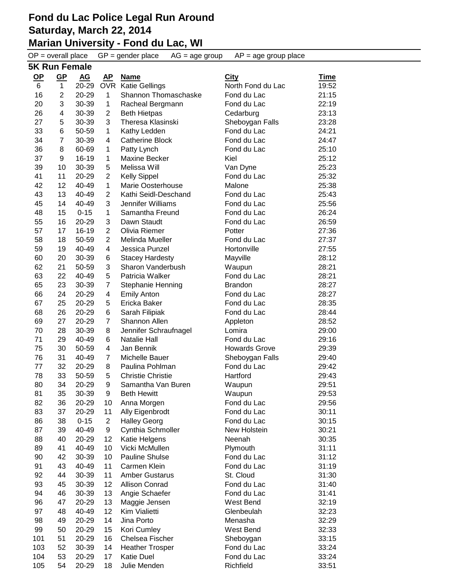#### **Marian University - Fond du Lac, WI**

 $OP =$  overall place  $GP =$  gender place  $AG =$  age group  $AP =$  age group place **5K Run Female OP GP AG AP Name City Time** 6 1 20-29 OVR Katie Gellings North Fond du Lac 19:52 2 20-29 1 Shannon Thomaschaske Fond du Lac 21:15 3 30-39 1 Racheal Bergmann Fond du Lac 22:19 4 30-39 2 Beth Hietpas Cedarburg 23:13 5 30-39 3 Theresa Klasinski Sheboygan Falls 23:28 6 50-59 1 Kathy Ledden Fond du Lac 24:21 7 30-39 4 Catherine Block Fond du Lac 24:47 8 60-69 1 Patty Lynch Fond du Lac 25:10 9 16-19 1 Maxine Becker Kiel 25:12 10 30-39 5 Melissa Will Van Dyne 25:23 11 20-29 2 Kelly Sippel Fond du Lac 25:32 12 40-49 1 Marie Oosterhouse Malone 25:38 13 40-49 2 Kathi Seidl-Deschand Fond du Lac 25:43 14 40-49 3 Jennifer Williams Fond du Lac 25:56 15 0-15 1 Samantha Freund Fond du Lac 26:24 16 20-29 3 Dawn Staudt Fond du Lac 26:59 57 17 16-19 2 Olivia Riemer **Potter 27:36**  18 50-59 2 Melinda Mueller Fond du Lac 27:37 19 40-49 4 Jessica Punzel Hortonville 27:55 20 30-39 6 Stacey Hardesty Mayville 28:12 21 50-59 3 Sharon Vanderbush Waupun 28:21 22 40-49 5 Patricia Walker Fond du Lac 28:21 23 30-39 7 Stephanie Henning Brandon 28:27 24 20-29 4 Emily Anton Fond du Lac 28:27 25 20-29 5 Ericka Baker Fond du Lac 28:35 26 20-29 6 Sarah Filipiak Fond du Lac 28:44 27 20-29 7 Shannon Allen Appleton 28:52 28 30-39 8 Jennifer Schraufnagel Lomira 29:00 29 40-49 6 Natalie Hall Fond du Lac 29:16 30 50-59 4 Jan Bennik Howards Grove 29:39 31 40-49 7 Michelle Bauer Sheboygan Falls 29:40 32 20-29 8 Paulina Pohlman Fond du Lac 29:42 33 50-59 5 Christie Christie Hartford 29:43 34 20-29 9 Samantha Van Buren Waupun 29:51 35 30-39 9 Beth Hewitt Waupun 29:53 36 20-29 10 Anna Morgen Fond du Lac 29:56 83 37 20-29 11 Ally Eigenbrodt Fond du Lac 60:11 86 38 0-15 2 Halley Georg **Fond du Lac** 30:15 87 39 40-49 9 Cynthia Schmoller New Holstein 30:21 40 20-29 12 Katie Helgens Neenah 30:35 41 40-49 10 Vicki McMullen Plymouth 31:11 42 30-39 10 Pauline Shulse Fond du Lac 31:12 43 40-49 11 Carmen Klein Fond du Lac 31:19 44 30-39 11 Amber Gustarus St. Cloud 31:30 45 30-39 12 Allison Conrad Fond du Lac 31:40 46 30-39 13 Angie Schaefer Fond du Lac 31:41 47 20-29 13 Maggie Jensen West Bend 32:19 48 40-49 12 Kim Vialietti Glenbeulah 32:23 49 20-29 14 Jina Porto Menasha 32:29

 50 20-29 15 Kori Cumley West Bend 32:33 51 20-29 16 Chelsea Fischer Sheboygan 33:15 103 52 30-39 14 Heather Trosper Fond du Lac 633:24 53 20-29 17 Katie Duel Fond du Lac 33:24 54 20-29 18 Julie Menden Richfield 33:51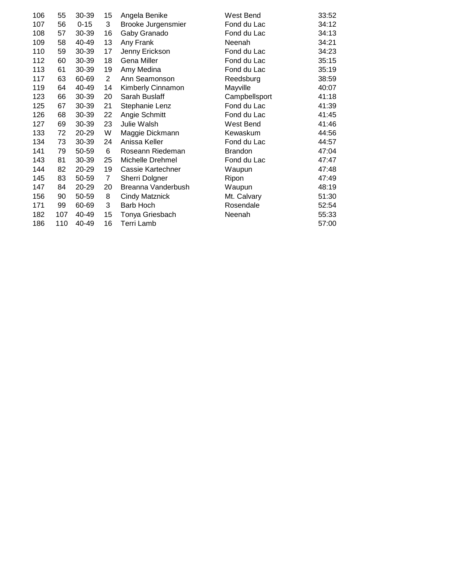| 106 | 55  | 30-39    | 15             | Angela Benike         | West Bend      | 33:52 |
|-----|-----|----------|----------------|-----------------------|----------------|-------|
| 107 | 56  | $0 - 15$ | 3              | Brooke Jurgensmier    | Fond du Lac    | 34:12 |
| 108 | 57  | 30-39    | 16             | Gaby Granado          | Fond du Lac    | 34:13 |
| 109 | 58  | 40-49    | 13             | Any Frank             | Neenah         | 34:21 |
| 110 | 59  | 30-39    | 17             | Jenny Erickson        | Fond du Lac    | 34:23 |
| 112 | 60  | 30-39    | 18             | Gena Miller           | Fond du Lac    | 35:15 |
| 113 | 61  | 30-39    | 19             | Amy Medina            | Fond du Lac    | 35:19 |
| 117 | 63  | 60-69    | $\overline{2}$ | Ann Seamonson         | Reedsburg      | 38:59 |
| 119 | 64  | 40-49    | 14             | Kimberly Cinnamon     | Mayville       | 40:07 |
| 123 | 66  | 30-39    | 20             | Sarah Buslaff         | Campbellsport  | 41:18 |
| 125 | 67  | 30-39    | 21             | Stephanie Lenz        | Fond du Lac    | 41:39 |
| 126 | 68  | 30-39    | 22             | Angie Schmitt         | Fond du Lac    | 41:45 |
| 127 | 69  | 30-39    | 23             | Julie Walsh           | West Bend      | 41:46 |
| 133 | 72  | 20-29    | W              | Maggie Dickmann       | Kewaskum       | 44:56 |
| 134 | 73  | 30-39    | 24             | Anissa Keller         | Fond du Lac    | 44:57 |
| 141 | 79  | 50-59    | 6              | Roseann Riedeman      | <b>Brandon</b> | 47:04 |
| 143 | 81  | 30-39    | 25             | Michelle Drehmel      | Fond du Lac    | 47:47 |
| 144 | 82  | 20-29    | 19             | Cassie Kartechner     | Waupun         | 47:48 |
| 145 | 83  | 50-59    | $\overline{7}$ | Sherri Dolgner        | Ripon          | 47:49 |
| 147 | 84  | 20-29    | 20             | Breanna Vanderbush    | Waupun         | 48:19 |
| 156 | 90  | 50-59    | 8              | <b>Cindy Matznick</b> | Mt. Calvary    | 51:30 |
| 171 | 99  | 60-69    | 3              | Barb Hoch             | Rosendale      | 52:54 |
| 182 | 107 | 40-49    | 15             | Tonya Griesbach       | Neenah         | 55:33 |
| 186 | 110 | 40-49    | 16             | Terri Lamb            |                | 57:00 |
|     |     |          |                |                       |                |       |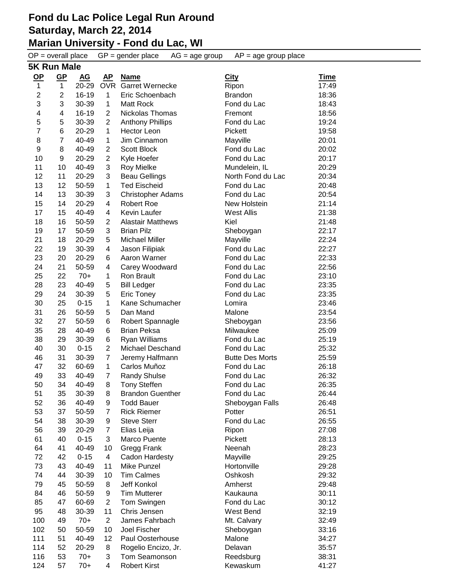# **Marian University - Fond du Lac, WI**<br>OP = overall place GP = gender place AG = age g

 $\overline{OP}$  = overall place  $\overline{GP}$  = gender place  $\overline{AG}$  = age group  $\overline{AP}$  = age group place **5K Run Male**

| $OP$                    | <u>GP</u>               | <b>AG</b> | <u>AP</u>               | <b>Name</b>                | <b>City</b>            | <u>Time</u> |
|-------------------------|-------------------------|-----------|-------------------------|----------------------------|------------------------|-------------|
| 1                       | 1                       | 20-29     |                         | <b>OVR</b> Garret Wernecke | Ripon                  | 17:49       |
| $\overline{2}$          | $\overline{c}$          | 16-19     | $\mathbf{1}$            | Eric Schoenbach            | <b>Brandon</b>         | 18:36       |
| 3                       | 3                       | 30-39     | $\mathbf{1}$            | Matt Rock                  | Fond du Lac            | 18:43       |
| $\overline{\mathbf{4}}$ | $\overline{\mathbf{4}}$ | 16-19     | $\overline{2}$          | Nickolas Thomas            | Fremont                | 18:56       |
| 5                       | 5                       | 30-39     | $\overline{c}$          | <b>Anthony Phillips</b>    | Fond du Lac            | 19:24       |
| $\overline{7}$          | 6                       | 20-29     | $\mathbf{1}$            | <b>Hector Leon</b>         | Pickett                | 19:58       |
| 8                       | $\overline{7}$          | 40-49     | $\mathbf{1}$            | Jim Cinnamon               | Mayville               | 20:01       |
| $\boldsymbol{9}$        | 8                       | 40-49     | $\overline{2}$          | <b>Scott Block</b>         | Fond du Lac            | 20:02       |
| 10                      | 9                       | 20-29     | $\overline{2}$          | Kyle Hoefer                | Fond du Lac            | 20:17       |
| 11                      | 10                      | 40-49     | 3                       | <b>Roy Mielke</b>          | Mundelein, IL          | 20:29       |
| 12                      | 11                      | 20-29     | 3                       | <b>Beau Gellings</b>       | North Fond du Lac      | 20:34       |
| 13                      | 12                      | 50-59     | $\mathbf{1}$            | <b>Ted Eischeid</b>        | Fond du Lac            | 20:48       |
| 14                      | 13                      | 30-39     | 3                       | <b>Christopher Adams</b>   | Fond du Lac            | 20:54       |
| 15                      | 14                      | 20-29     | 4                       | <b>Robert Roe</b>          | New Holstein           | 21:14       |
| 17                      | 15                      | 40-49     | $\overline{\mathbf{4}}$ | Kevin Laufer               | <b>West Allis</b>      | 21:38       |
| 18                      | 16                      | 50-59     | $\overline{2}$          | <b>Alastair Matthews</b>   | Kiel                   | 21:48       |
| 19                      | 17                      | 50-59     | 3                       | <b>Brian Pilz</b>          | Sheboygan              | 22:17       |
| 21                      | 18                      | 20-29     | 5                       | <b>Michael Miller</b>      | Mayville               | 22:24       |
| 22                      | 19                      | 30-39     | 4                       | Jason Filipiak             | Fond du Lac            | 22:27       |
| 23                      | 20                      | 20-29     | 6                       | Aaron Warner               | Fond du Lac            | 22:33       |
| 24                      | 21                      | 50-59     | 4                       | Carey Woodward             | Fond du Lac            | 22:56       |
| 25                      | 22                      | $70+$     | 1                       | Ron Brault                 | Fond du Lac            | 23:10       |
| 28                      | 23                      | 40-49     | 5                       | <b>Bill Ledger</b>         | Fond du Lac            | 23:35       |
| 29                      | 24                      | 30-39     | 5                       | <b>Eric Toney</b>          | Fond du Lac            | 23:35       |
| 30                      | 25                      | $0 - 15$  | 1                       | Kane Schumacher            | Lomira                 | 23:46       |
| 31                      | 26                      | 50-59     | 5                       | Dan Mand                   | Malone                 | 23:54       |
| 32                      | 27                      | 50-59     | 6                       | Robert Spannagle           | Sheboygan              | 23:56       |
| 35                      | 28                      | 40-49     | 6                       | <b>Brian Peksa</b>         | Milwaukee              | 25:09       |
| 38                      | 29                      | 30-39     | 6                       | Ryan Williams              | Fond du Lac            | 25:19       |
| 40                      | 30                      | $0 - 15$  | $\overline{2}$          | Michael Deschand           | Fond du Lac            | 25:32       |
| 46                      | 31                      | 30-39     | $\overline{7}$          | Jeremy Halfmann            | <b>Butte Des Morts</b> | 25:59       |
| 47                      | 32                      | 60-69     | $\mathbf{1}$            | Carlos Muñoz               | Fond du Lac            | 26:18       |
| 49                      | 33                      | 40-49     | $\overline{7}$          | <b>Randy Shulse</b>        | Fond du Lac            | 26:32       |
| 50                      | 34                      | 40-49     | 8                       | <b>Tony Steffen</b>        | Fond du Lac            | 26:35       |
| 51                      | 35                      | 30-39     | 8                       | <b>Brandon Guenther</b>    | Fond du Lac            | 26:44       |
| 52                      | 36                      | 40-49     | 9                       | <b>Todd Bauer</b>          | Sheboygan Falls        | 26:48       |
| 53                      | 37                      | 50-59     | $\overline{7}$          | <b>Rick Riemer</b>         | Potter                 | 26:51       |
| 54                      | 38                      | 30-39     | 9                       | <b>Steve Sterr</b>         | Fond du Lac            | 26:55       |
| 56                      | 39                      | 20-29     | $\overline{7}$          | Elias Leija                | Ripon                  | 27:08       |
| 61                      | 40                      | $0 - 15$  | 3                       | Marco Puente               | Pickett                | 28:13       |
| 64                      | 41                      | 40-49     | 10                      | Gregg Frank                | Neenah                 | 28:23       |
| 72                      | 42                      | $0 - 15$  | 4                       | Cadon Hardesty             | Mayville               | 29:25       |
| 73                      | 43                      | 40-49     | 11                      | Mike Punzel                | Hortonville            | 29:28       |
| 74                      | 44                      | 30-39     | 10                      | <b>Tim Calmes</b>          | Oshkosh                | 29:32       |
| 79                      | 45                      | 50-59     | 8                       | Jeff Konkol                | Amherst                | 29:48       |
| 84                      | 46                      | 50-59     | 9                       | <b>Tim Mutterer</b>        | Kaukauna               | 30:11       |
| 85                      | 47                      | 60-69     | $\overline{2}$          | Tom Swingen                | Fond du Lac            | 30:12       |
| 95                      | 48                      | 30-39     | 11                      | Chris Jensen               | West Bend              | 32:19       |
| 100                     | 49                      | $70+$     | $\overline{c}$          | James Fahrbach             | Mt. Calvary            | 32:49       |
| 102                     | 50                      | 50-59     | 10                      | Joel Fischer               | Sheboygan              | 33:16       |
| 111                     | 51                      | 40-49     | 12                      | Paul Oosterhouse           | Malone                 | 34:27       |
| 114                     | 52                      | 20-29     | 8                       | Rogelio Encizo, Jr.        | Delavan                | 35:57       |
| 116                     | 53                      | $70+$     | 3                       | Tom Seamonson              | Reedsburg              | 38:31       |
| 124                     | 57                      | $70+$     | 4                       | <b>Robert Kirst</b>        | Kewaskum               | 41:27       |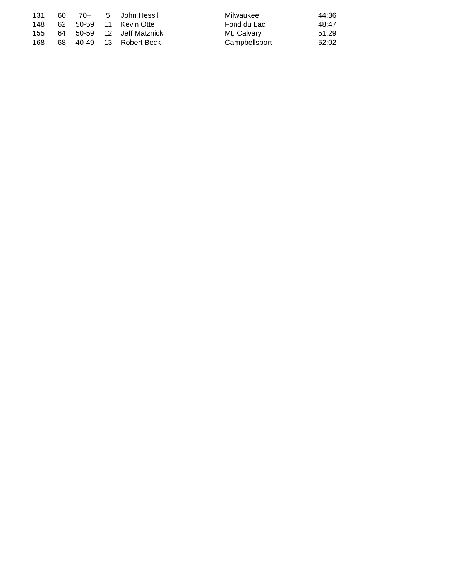| 131 | -60 |  | 70+ 5 John Hessil         | Milwaukee     | 44:36 |
|-----|-----|--|---------------------------|---------------|-------|
| 148 |     |  | 62 50-59 11 Kevin Otte    | Fond du Lac   | 48:47 |
| 155 |     |  | 64 50-59 12 Jeff Matznick | Mt. Calvary   | 51:29 |
| 168 |     |  | 68 40-49 13 Robert Beck   | Campbellsport | 52:02 |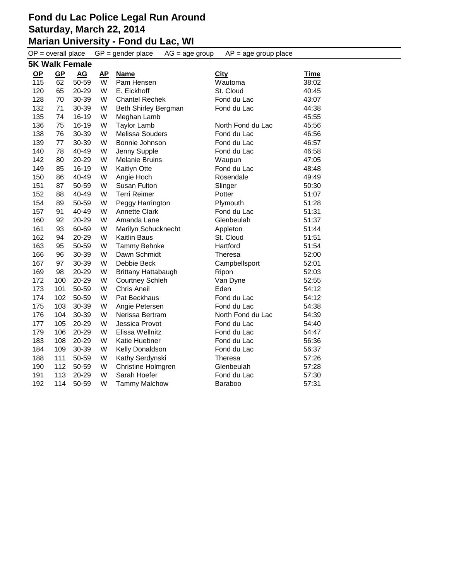#### **Fond du Lac Police Legal Run Around Saturday, March 22, 2014 Marian University - Fond du Lac, WI**

| $GP = gender place$<br>$OP = overall place$<br>$AP = age$ group place<br>$AG = age$ group |                       |                  |                         |                           |                   |             |  |  |  |
|-------------------------------------------------------------------------------------------|-----------------------|------------------|-------------------------|---------------------------|-------------------|-------------|--|--|--|
|                                                                                           | <b>5K Walk Female</b> |                  |                         |                           |                   |             |  |  |  |
| $OP$                                                                                      | $GP$                  | $\underline{AG}$ | $\mathbf{A} \mathbf{P}$ | <b>Name</b>               | <b>City</b>       | <b>Time</b> |  |  |  |
| 115                                                                                       | 62                    | 50-59            | W                       | Pam Hensen                | Wautoma           | 38:02       |  |  |  |
| 120                                                                                       | 65                    | 20-29            | W                       | E. Eickhoff               | St. Cloud         | 40:45       |  |  |  |
| 128                                                                                       | 70                    | 30-39            | W                       | <b>Chantel Rechek</b>     | Fond du Lac       | 43:07       |  |  |  |
| 132                                                                                       | 71                    | 30-39            | W                       | Beth Shirley Bergman      | Fond du Lac       | 44:38       |  |  |  |
| 135                                                                                       | 74                    | 16-19            | W                       | Meghan Lamb               |                   | 45:55       |  |  |  |
| 136                                                                                       | 75                    | 16-19            | W                       | <b>Taylor Lamb</b>        | North Fond du Lac | 45:56       |  |  |  |
| 138                                                                                       | 76                    | 30-39            | W                       | Melissa Souders           | Fond du Lac       | 46:56       |  |  |  |
| 139                                                                                       | 77                    | 30-39            | W                       | Bonnie Johnson            | Fond du Lac       | 46:57       |  |  |  |
| 140                                                                                       | 78                    | 40-49            | W                       | Jenny Supple              | Fond du Lac       | 46:58       |  |  |  |
| 142                                                                                       | 80                    | 20-29            | W                       | <b>Melanie Bruins</b>     | Waupun            | 47:05       |  |  |  |
| 149                                                                                       | 85                    | 16-19            | W                       | Kaitlyn Otte              | Fond du Lac       | 48:48       |  |  |  |
| 150                                                                                       | 86                    | 40-49            | W                       | Angie Hoch                | Rosendale         | 49:49       |  |  |  |
| 151                                                                                       | 87                    | 50-59            | W                       | Susan Fulton              | Slinger           | 50:30       |  |  |  |
| 152                                                                                       | 88                    | 40-49            | W                       | <b>Terri Reimer</b>       | Potter            | 51:07       |  |  |  |
| 154                                                                                       | 89                    | 50-59            | W                       | Peggy Harrington          | Plymouth          | 51:28       |  |  |  |
| 157                                                                                       | 91                    | 40-49            | W                       | <b>Annette Clark</b>      | Fond du Lac       | 51:31       |  |  |  |
| 160                                                                                       | 92                    | 20-29            | W                       | Amanda Lane               | Glenbeulah        | 51:37       |  |  |  |
| 161                                                                                       | 93                    | 60-69            | W                       | Marilyn Schucknecht       | Appleton          | 51:44       |  |  |  |
| 162                                                                                       | 94                    | 20-29            | W                       | <b>Kaitlin Baus</b>       | St. Cloud         | 51:51       |  |  |  |
| 163                                                                                       | 95                    | 50-59            | W                       | Tammy Behnke              | Hartford          | 51:54       |  |  |  |
| 166                                                                                       | 96                    | 30-39            | W                       | Dawn Schmidt              | Theresa           | 52:00       |  |  |  |
| 167                                                                                       | 97                    | 30-39            | W                       | Debbie Beck               | Campbellsport     | 52:01       |  |  |  |
| 169                                                                                       | 98                    | 20-29            | W                       | Brittany Hattabaugh       | Ripon             | 52:03       |  |  |  |
| 172                                                                                       | 100                   | 20-29            | W                       | <b>Courtney Schleh</b>    | Van Dyne          | 52:55       |  |  |  |
| 173                                                                                       | 101                   | 50-59            | W                       | <b>Chris Aneil</b>        | Eden              | 54:12       |  |  |  |
| 174                                                                                       | 102                   | 50-59            | W                       | Pat Beckhaus              | Fond du Lac       | 54:12       |  |  |  |
| 175                                                                                       | 103                   | 30-39            | W                       | Angie Petersen            | Fond du Lac       | 54:38       |  |  |  |
| 176                                                                                       | 104                   | 30-39            | W                       | Nerissa Bertram           | North Fond du Lac | 54:39       |  |  |  |
| 177                                                                                       | 105                   | 20-29            | W                       | Jessica Provot            | Fond du Lac       | 54:40       |  |  |  |
| 179                                                                                       | 106                   | 20-29            | W                       | Elissa Wellnitz           | Fond du Lac       | 54:47       |  |  |  |
| 183                                                                                       | 108                   | 20-29            | W                       | Katie Huebner             | Fond du Lac       | 56:36       |  |  |  |
| 184                                                                                       | 109                   | 30-39            | W                       | Kelly Donaldson           | Fond du Lac       | 56:37       |  |  |  |
| 188                                                                                       | 111                   | 50-59            | W                       | Kathy Serdynski           | <b>Theresa</b>    | 57:26       |  |  |  |
| 190                                                                                       | 112                   | 50-59            | W                       | <b>Christine Holmgren</b> | Glenbeulah        | 57:28       |  |  |  |
| 191                                                                                       | 113                   | 20-29            | W                       | Sarah Hoefer              | Fond du Lac       | 57:30       |  |  |  |
| 192                                                                                       | 114                   | 50-59            | W                       | <b>Tammy Malchow</b>      | <b>Baraboo</b>    | 57:31       |  |  |  |
|                                                                                           |                       |                  |                         |                           |                   |             |  |  |  |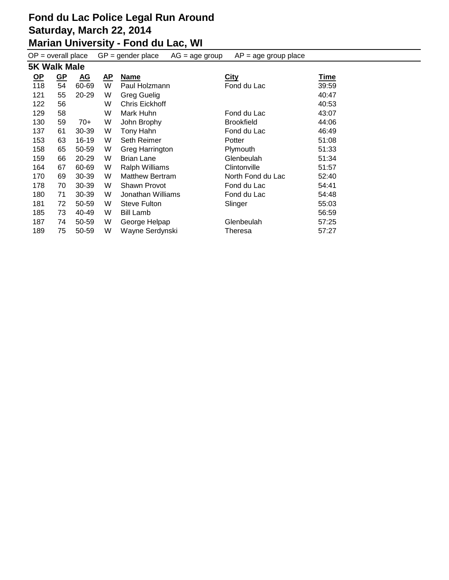#### **Marian University - Fond du Lac, WI**

| $GP = gender place$<br>$AP = age$ group place<br>$OP = overall place$<br>$AG = age$ group |                           |                  |              |                        |                   |             |  |  |  |
|-------------------------------------------------------------------------------------------|---------------------------|------------------|--------------|------------------------|-------------------|-------------|--|--|--|
| <b>5K Walk Male</b>                                                                       |                           |                  |              |                        |                   |             |  |  |  |
| <u>OP</u>                                                                                 | $\underline{\mathsf{GP}}$ | $\underline{AG}$ | $\mathbf{A}$ | <b>Name</b>            | <b>City</b>       | <u>Time</u> |  |  |  |
| 118                                                                                       | 54                        | 60-69            | W            | Paul Holzmann          | Fond du Lac       | 39:59       |  |  |  |
| 121                                                                                       | 55                        | 20-29            | W            | <b>Greg Guelig</b>     |                   | 40:47       |  |  |  |
| 122                                                                                       | 56                        |                  | W            | Chris Eickhoff         |                   | 40:53       |  |  |  |
| 129                                                                                       | 58                        |                  | W            | Mark Huhn              | Fond du Lac       | 43:07       |  |  |  |
| 130                                                                                       | 59                        | 70+              | W            | John Brophy            | <b>Brookfield</b> | 44:06       |  |  |  |
| 137                                                                                       | 61                        | 30-39            | W            | Tony Hahn              | Fond du Lac       | 46:49       |  |  |  |
| 153                                                                                       | 63                        | 16-19            | W            | Seth Reimer            | Potter            | 51:08       |  |  |  |
| 158                                                                                       | 65                        | 50-59            | W            | Greg Harrington        | Plymouth          | 51:33       |  |  |  |
| 159                                                                                       | 66                        | 20-29            | W            | <b>Brian Lane</b>      | Glenbeulah        | 51:34       |  |  |  |
| 164                                                                                       | 67                        | 60-69            | W            | <b>Ralph Williams</b>  | Clintonville      | 51:57       |  |  |  |
| 170                                                                                       | 69                        | 30-39            | W            | <b>Matthew Bertram</b> | North Fond du Lac | 52:40       |  |  |  |
| 178                                                                                       | 70                        | 30-39            | W            | Shawn Provot           | Fond du Lac       | 54:41       |  |  |  |
| 180                                                                                       | 71                        | 30-39            | W            | Jonathan Williams      | Fond du Lac       | 54:48       |  |  |  |
| 181                                                                                       | 72                        | 50-59            | W            | Steve Fulton           | Slinger           | 55:03       |  |  |  |
| 185                                                                                       | 73                        | 40-49            | W            | <b>Bill Lamb</b>       |                   | 56:59       |  |  |  |
| 187                                                                                       | 74                        | 50-59            | W            | George Helpap          | Glenbeulah        | 57:25       |  |  |  |
| 189                                                                                       | 75                        | 50-59            | W            | Wayne Serdynski        | Theresa           | 57:27       |  |  |  |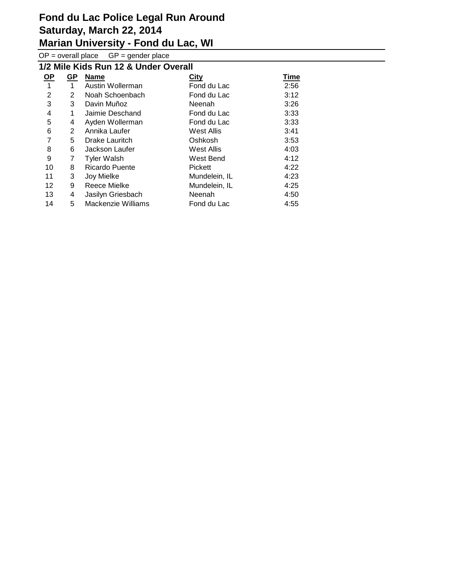**Marian University - Fond du Lac, WI**

 $OP =$  overall place  $GP =$  gender place

| 1/2 Mile Kids Run 12 & Under Overall |                |                           |                |      |  |  |  |  |  |
|--------------------------------------|----------------|---------------------------|----------------|------|--|--|--|--|--|
| <u>OP</u>                            | <b>GP</b>      | <b>Name</b>               | City           | Time |  |  |  |  |  |
| 1                                    | $\mathbf 1$    | Austin Wollerman          | Fond du Lac    | 2:56 |  |  |  |  |  |
| 2                                    | $\overline{2}$ | Noah Schoenbach           | Fond du Lac    | 3:12 |  |  |  |  |  |
| 3                                    | 3              | Davin Muñoz               | Neenah         | 3:26 |  |  |  |  |  |
| 4                                    | 1              | Jaimie Deschand           | Fond du Lac    | 3:33 |  |  |  |  |  |
| 5                                    | 4              | Ayden Wollerman           | Fond du Lac    | 3:33 |  |  |  |  |  |
| 6                                    | $\overline{2}$ | Annika Laufer             | West Allis     | 3:41 |  |  |  |  |  |
| 7                                    | 5.             | Drake Lauritch            | Oshkosh        | 3:53 |  |  |  |  |  |
| 8                                    | 6              | Jackson Laufer            | West Allis     | 4:03 |  |  |  |  |  |
| 9                                    | 7              | <b>Tyler Walsh</b>        | West Bend      | 4:12 |  |  |  |  |  |
| 10                                   | 8              | <b>Ricardo Puente</b>     | <b>Pickett</b> | 4:22 |  |  |  |  |  |
| 11                                   | 3              | Joy Mielke                | Mundelein, IL  | 4:23 |  |  |  |  |  |
| 12                                   | 9              | Reece Mielke              | Mundelein, IL  | 4:25 |  |  |  |  |  |
| 13                                   | 4              | Jasilyn Griesbach         | Neenah         | 4:50 |  |  |  |  |  |
| 14                                   | 5              | <b>Mackenzie Williams</b> | Fond du Lac    | 4:55 |  |  |  |  |  |
|                                      |                |                           |                |      |  |  |  |  |  |